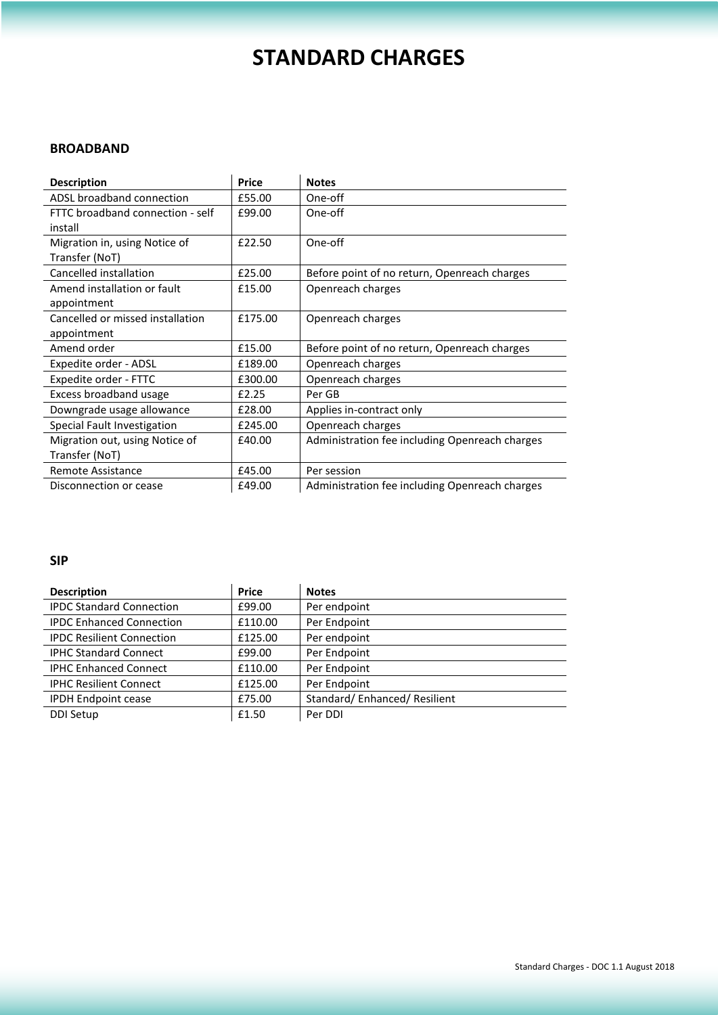# **STANDARD CHARGES**

#### **BROADBAND**

| <b>Description</b>               | <b>Price</b> | <b>Notes</b>                                   |
|----------------------------------|--------------|------------------------------------------------|
| ADSL broadband connection        | £55.00       | One-off                                        |
| FTTC broadband connection - self | £99.00       | One-off                                        |
| install                          |              |                                                |
| Migration in, using Notice of    | £22.50       | One-off                                        |
| Transfer (NoT)                   |              |                                                |
| Cancelled installation           | £25.00       | Before point of no return, Openreach charges   |
| Amend installation or fault      | £15.00       | Openreach charges                              |
| appointment                      |              |                                                |
| Cancelled or missed installation | £175.00      | Openreach charges                              |
| appointment                      |              |                                                |
| Amend order                      | £15.00       | Before point of no return, Openreach charges   |
| Expedite order - ADSL            | £189.00      | Openreach charges                              |
| Expedite order - FTTC            | £300.00      | Openreach charges                              |
| Excess broadband usage           | £2.25        | Per GB                                         |
| Downgrade usage allowance        | £28.00       | Applies in-contract only                       |
| Special Fault Investigation      | £245.00      | Openreach charges                              |
| Migration out, using Notice of   | £40.00       | Administration fee including Openreach charges |
| Transfer (NoT)                   |              |                                                |
| <b>Remote Assistance</b>         | £45.00       | Per session                                    |
| Disconnection or cease           | £49.00       | Administration fee including Openreach charges |

### **SIP**

| <b>Description</b>               | <b>Price</b> | <b>Notes</b>                |
|----------------------------------|--------------|-----------------------------|
| <b>IPDC Standard Connection</b>  | £99.00       | Per endpoint                |
| <b>IPDC Enhanced Connection</b>  | £110.00      | Per Endpoint                |
| <b>IPDC Resilient Connection</b> | £125.00      | Per endpoint                |
| <b>IPHC Standard Connect</b>     | £99.00       | Per Endpoint                |
| <b>IPHC Enhanced Connect</b>     | £110.00      | Per Endpoint                |
| <b>IPHC Resilient Connect</b>    | £125.00      | Per Endpoint                |
| <b>IPDH Endpoint cease</b>       | £75.00       | Standard/Enhanced/Resilient |
| <b>DDI Setup</b>                 | £1.50        | Per DDI                     |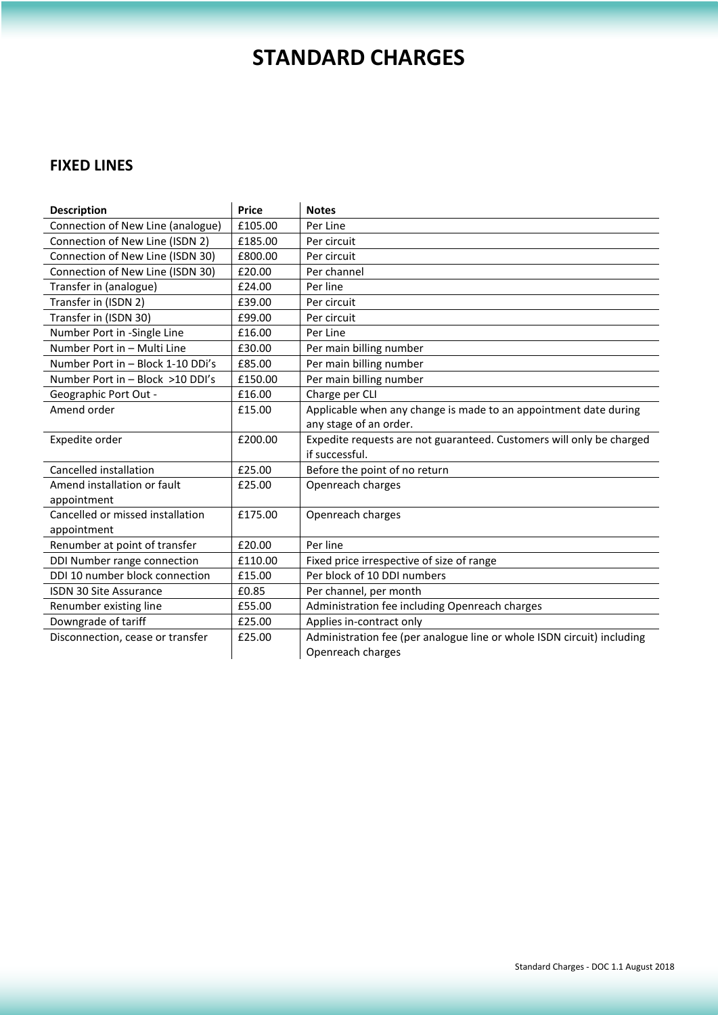# **STANDARD CHARGES**

### **FIXED LINES**

| <b>Description</b>                | <b>Price</b> | <b>Notes</b>                                                           |
|-----------------------------------|--------------|------------------------------------------------------------------------|
| Connection of New Line (analogue) | £105.00      | Per Line                                                               |
| Connection of New Line (ISDN 2)   | £185.00      | Per circuit                                                            |
| Connection of New Line (ISDN 30)  | £800.00      | Per circuit                                                            |
| Connection of New Line (ISDN 30)  | £20.00       | Per channel                                                            |
| Transfer in (analogue)            | £24.00       | Per line                                                               |
| Transfer in (ISDN 2)              | £39.00       | Per circuit                                                            |
| Transfer in (ISDN 30)             | £99.00       | Per circuit                                                            |
| Number Port in -Single Line       | £16.00       | Per Line                                                               |
| Number Port in - Multi Line       | £30.00       | Per main billing number                                                |
| Number Port in - Block 1-10 DDi's | £85.00       | Per main billing number                                                |
| Number Port in - Block >10 DDI's  | £150.00      | Per main billing number                                                |
| Geographic Port Out -             | £16.00       | Charge per CLI                                                         |
| Amend order                       | £15.00       | Applicable when any change is made to an appointment date during       |
|                                   |              | any stage of an order.                                                 |
| Expedite order                    | £200.00      | Expedite requests are not guaranteed. Customers will only be charged   |
|                                   |              | if successful.                                                         |
| Cancelled installation            | £25.00       | Before the point of no return                                          |
| Amend installation or fault       | £25.00       | Openreach charges                                                      |
| appointment                       |              |                                                                        |
| Cancelled or missed installation  | £175.00      | Openreach charges                                                      |
| appointment                       |              |                                                                        |
| Renumber at point of transfer     | £20.00       | Per line                                                               |
| DDI Number range connection       | £110.00      | Fixed price irrespective of size of range                              |
| DDI 10 number block connection    | £15.00       | Per block of 10 DDI numbers                                            |
| <b>ISDN 30 Site Assurance</b>     | £0.85        | Per channel, per month                                                 |
| Renumber existing line            | £55.00       | Administration fee including Openreach charges                         |
| Downgrade of tariff               | £25.00       | Applies in-contract only                                               |
| Disconnection, cease or transfer  | £25.00       | Administration fee (per analogue line or whole ISDN circuit) including |
|                                   |              | Openreach charges                                                      |